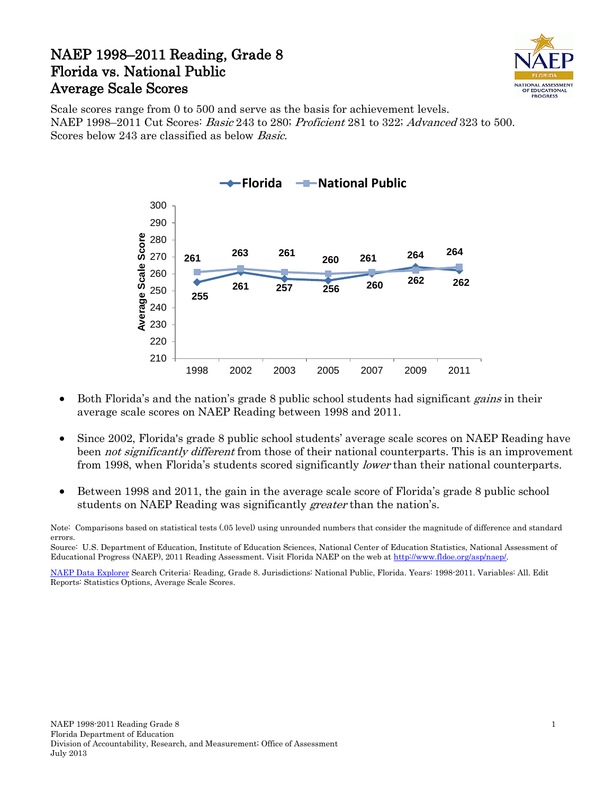## NAEP 1998–2011 Reading, Grade 8 Florida vs. National Public Average Scale Scores



Scale scores range from 0 to 500 and serve as the basis for achievement levels. NAEP 1998–2011 Cut Scores: Basic 243 to 280; Proficient 281 to 322; Advanced 323 to 500. Scores below 243 are classified as below Basic.



- Both Florida's and the nation's grade 8 public school students had significant *gains* in their average scale scores on NAEP Reading between 1998 and 2011.
- Since 2002, Florida's grade 8 public school students' average scale scores on NAEP Reading have been *not significantly different* from those of their national counterparts. This is an improvement from 1998, when Florida's students scored significantly *lower* than their national counterparts.
- Between 1998 and 2011, the gain in the average scale score of Florida's grade 8 public school students on NAEP Reading was significantly *greater* than the nation's.

Note: Comparisons based on statistical tests (.05 level) using unrounded numbers that consider the magnitude of difference and standard errors.

Source: U.S. Department of Education, Institute of Education Sciences, National Center of Education Statistics, National Assessment of Educational Progress (NAEP), 2011 Reading Assessment. Visit Florida NAEP on the web a[t http://www.fldoe.org/asp/naep/.](http://www.fldoe.org/asp/naep/)

[NAEP Data Explorer](http://nces.ed.gov/nationsreportcard/naepdata/) Search Criteria: Reading, Grade 8. Jurisdictions: National Public, Florida. Years: 1998-2011. Variables: All. Edit Reports: Statistics Options, Average Scale Scores.